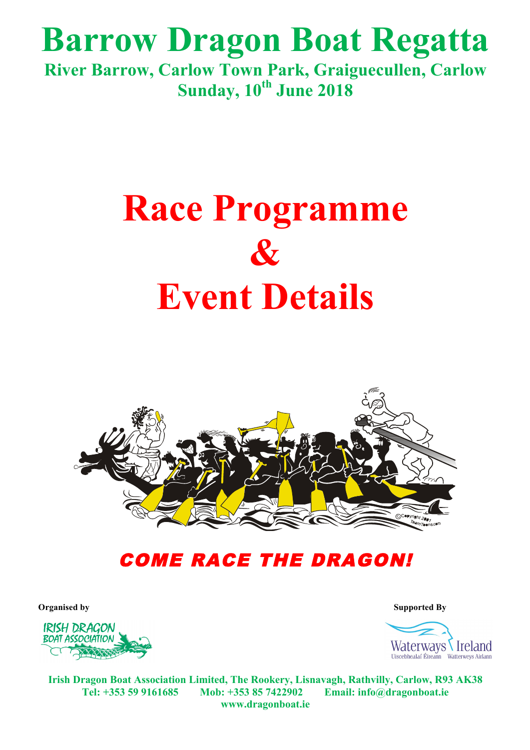# **Barrow Dragon Boat Regatta**

**River Barrow, Carlow Town Park, Graiguecullen, Carlow Sunday, 10th June 2018**

# **Race Programme & Event Details**



# COME RACE THE DRAGON!

**Organised by Supported By Supported By** 



Waterways **I**reland Lliscebhealaí Éireann Watterweys Airlann

**Irish Dragon Boat Association Limited, The Rookery, Lisnavagh, Rathvilly, Carlow, R93 AK38 Tel: +353 59 9161685 Mob: +353 85 7422902 Email: info@dragonboat.ie www.dragonboat.ie**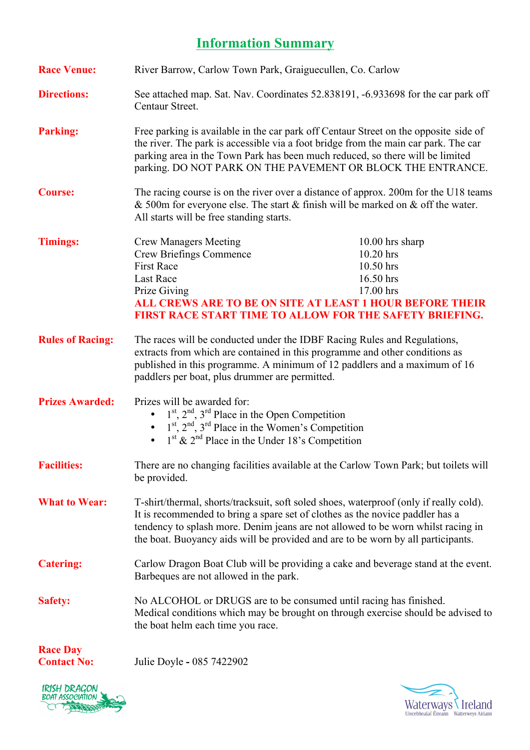# **Information Summary**

| <b>Race Venue:</b>                    | River Barrow, Carlow Town Park, Graiguecullen, Co. Carlow                                                                                                                                                                                                                                                                                       |  |  |
|---------------------------------------|-------------------------------------------------------------------------------------------------------------------------------------------------------------------------------------------------------------------------------------------------------------------------------------------------------------------------------------------------|--|--|
| <b>Directions:</b>                    | See attached map. Sat. Nav. Coordinates 52.838191, -6.933698 for the car park off<br>Centaur Street.                                                                                                                                                                                                                                            |  |  |
| <b>Parking:</b>                       | Free parking is available in the car park off Centaur Street on the opposite side of<br>the river. The park is accessible via a foot bridge from the main car park. The car<br>parking area in the Town Park has been much reduced, so there will be limited<br>parking. DO NOT PARK ON THE PAVEMENT OR BLOCK THE ENTRANCE.                     |  |  |
| <b>Course:</b>                        | The racing course is on the river over a distance of approx. 200m for the U18 teams<br>& 500m for everyone else. The start & finish will be marked on $\&$ off the water.<br>All starts will be free standing starts.                                                                                                                           |  |  |
| <b>Timings:</b>                       | <b>Crew Managers Meeting</b><br>$10.00$ hrs sharp<br>10.20 hrs<br><b>Crew Briefings Commence</b><br><b>First Race</b><br>10.50 hrs<br><b>Last Race</b><br>16.50 hrs<br>17.00 hrs<br>Prize Giving<br>ALL CREWS ARE TO BE ON SITE AT LEAST 1 HOUR BEFORE THEIR<br><b>FIRST RACE START TIME TO ALLOW FOR THE SAFETY BRIEFING.</b>                  |  |  |
| <b>Rules of Racing:</b>               | The races will be conducted under the IDBF Racing Rules and Regulations,<br>extracts from which are contained in this programme and other conditions as<br>published in this programme. A minimum of 12 paddlers and a maximum of 16<br>paddlers per boat, plus drummer are permitted.                                                          |  |  |
| <b>Prizes Awarded:</b>                | Prizes will be awarded for:<br>• $1^{st}$ , $2^{nd}$ , $3^{rd}$ Place in the Open Competition<br>• $1^{st}$ , $2^{nd}$ , $3^{rd}$ Place in the Women's Competition<br>• $1^{st}$ & $2^{nd}$ Place in the Under 18's Competition                                                                                                                 |  |  |
| <b>Facilities:</b>                    | There are no changing facilities available at the Carlow Town Park; but toilets will<br>be provided.                                                                                                                                                                                                                                            |  |  |
| <b>What to Wear:</b>                  | T-shirt/thermal, shorts/tracksuit, soft soled shoes, waterproof (only if really cold).<br>It is recommended to bring a spare set of clothes as the novice paddler has a<br>tendency to splash more. Denim jeans are not allowed to be worn whilst racing in<br>the boat. Buoyancy aids will be provided and are to be worn by all participants. |  |  |
| <b>Catering:</b>                      | Carlow Dragon Boat Club will be providing a cake and beverage stand at the event.<br>Barbeques are not allowed in the park.                                                                                                                                                                                                                     |  |  |
| <b>Safety:</b>                        | No ALCOHOL or DRUGS are to be consumed until racing has finished.<br>Medical conditions which may be brought on through exercise should be advised to<br>the boat helm each time you race.                                                                                                                                                      |  |  |
| <b>Race Day</b><br><b>Contact No:</b> | Julie Doyle - 085 7422902                                                                                                                                                                                                                                                                                                                       |  |  |



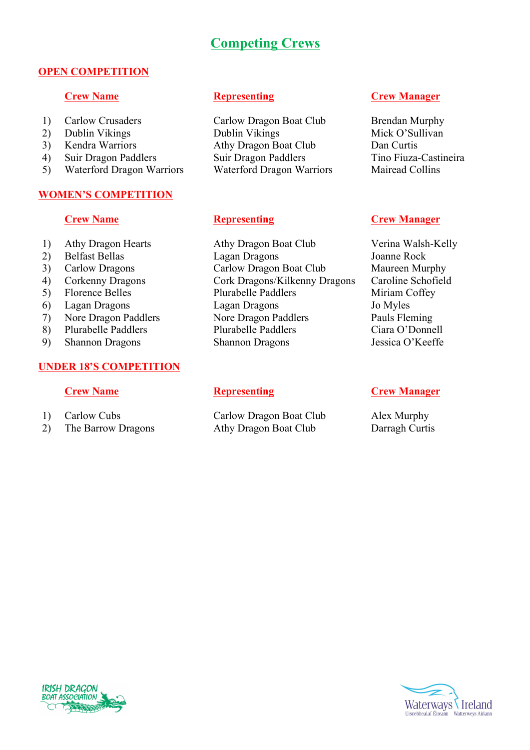# **Competing Crews**

## **OPEN COMPETITION**

- 
- 
- 
- 4) Suir Dragon Paddlers Suir Dragon Paddlers Tino Fiuza-Castineira
- 5) Waterford Dragon Warriors Waterford Dragon Warriors Mairead Collins

### **WOMEN'S COMPETITION**

- 
- 
- 
- 
- 
- 
- 
- 
- 

## **UNDER 18'S COMPETITION**

- 
- 

1) Carlow Crusaders Carlow Dragon Boat Club Brendan Murphy 2) Dublin Vikings Dublin Vikings Mick O'Sullivan 3) Kendra Warriors Athy Dragon Boat Club Dan Curtis

1) Athy Dragon Hearts Athy Dragon Boat Club Verina Walsh-Kelly 2) Belfast Bellas Lagan Dragons Joanne Rock 3) Carlow Dragons Carlow Dragon Boat Club Maureen Murphy 4) Corkenny Dragons Cork Dragons/Kilkenny Dragons Caroline Schofield 5) Florence Belles Plurabelle Paddlers Miriam Coffey 6) Lagan Dragons Lagan Dragons Jo Myles 7) Nore Dragon Paddlers Nore Dragon Paddlers Pauls Fleming 8) Plurabelle Paddlers Plurabelle Paddlers Ciara O'Donnell 9) Shannon Dragons Shannon Dragons Jessica O'Keeffe

1) Carlow Cubs Carlow Dragon Boat Club Alex Murphy 2) The Barrow Dragons Athy Dragon Boat Club Darragh Curtis

### **Crew Name Representing Crew Manager**

### **Crew Name Representing Crew Manager**

### **Crew Name Representing Crew Manager**



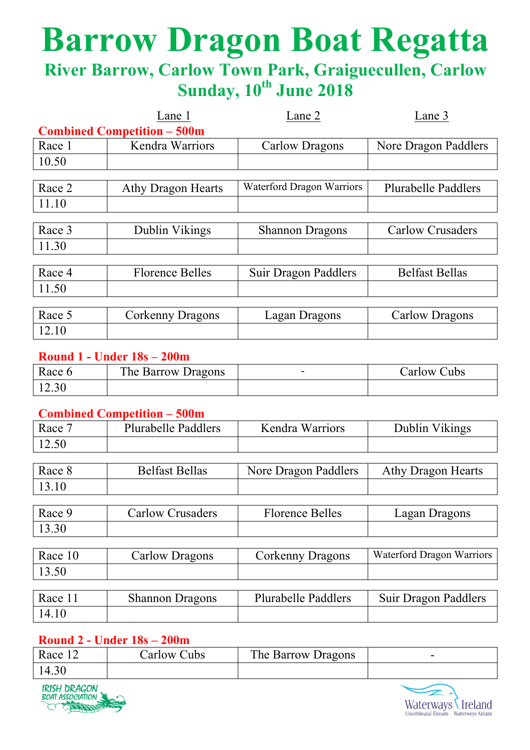# **Barrow Dragon Boat Regatta**

# **River Barrow, Carlow Town Park, Graiguecullen, Carlow Sunday, 10th June 2018**

|        | Lane 1                             | Lane 2                    | Lane 3                     |
|--------|------------------------------------|---------------------------|----------------------------|
|        | <b>Combined Competition – 500m</b> |                           |                            |
| Race 1 | <b>Kendra Warriors</b>             | Carlow Dragons            | Nore Dragon Paddlers       |
| 10.50  |                                    |                           |                            |
|        |                                    |                           |                            |
| Race 2 | Athy Dragon Hearts                 | Waterford Dragon Warriors | <b>Plurabelle Paddlers</b> |
| 11.10  |                                    |                           |                            |
|        |                                    |                           |                            |
| Race 3 | Dublin Vikings                     | <b>Shannon Dragons</b>    | <b>Carlow Crusaders</b>    |
| 11.30  |                                    |                           |                            |
|        |                                    |                           |                            |
| Race 4 | <b>Florence Belles</b>             | Suir Dragon Paddlers      | <b>Belfast Bellas</b>      |
| 11.50  |                                    |                           |                            |
|        |                                    |                           |                            |
| Race 5 | Corkenny Dragons                   | Lagan Dragons             | Carlow Dragons             |
| 12.10  |                                    |                           |                            |

# **Round 1 - Under 18s – 200m**

| Race 6 | The Barrow Dragons | <b>Carlow Cubs</b> |
|--------|--------------------|--------------------|
| 12.30  |                    |                    |

## **Combined Competition – 500m**

| Race  | <b>Plurabelle Paddlers</b> | <b>Kendra Warriors</b> | Dublin Vikings |
|-------|----------------------------|------------------------|----------------|
| 12.50 |                            |                        |                |

| Race 8 | <b>Belfast Bellas</b> | Nore Dragon Paddlers | Athy Dragon Hearts |
|--------|-----------------------|----------------------|--------------------|
|        |                       |                      |                    |

| Race 9 | Carlow Crusaders | <b>Florence Belles</b> | Lagan Dragons |
|--------|------------------|------------------------|---------------|
|        |                  |                        |               |

| Race 10 | Carlow Dragons | <b>Corkenny Dragons</b> | <b>Waterford Dragon Warriors</b> |
|---------|----------------|-------------------------|----------------------------------|
| 13.50   |                |                         |                                  |
|         |                |                         |                                  |

| Race $11$ | <b>Shannon Dragons</b> | <b>Plurabelle Paddlers</b> | Suir Dragon Paddlers |
|-----------|------------------------|----------------------------|----------------------|
| 14.10     |                        |                            |                      |

# **Round 2 - Under 18s – 200m**

| Race 12 | Carlow Cubs | The Barrow Dragons |  |
|---------|-------------|--------------------|--|
| 14.30   |             |                    |  |



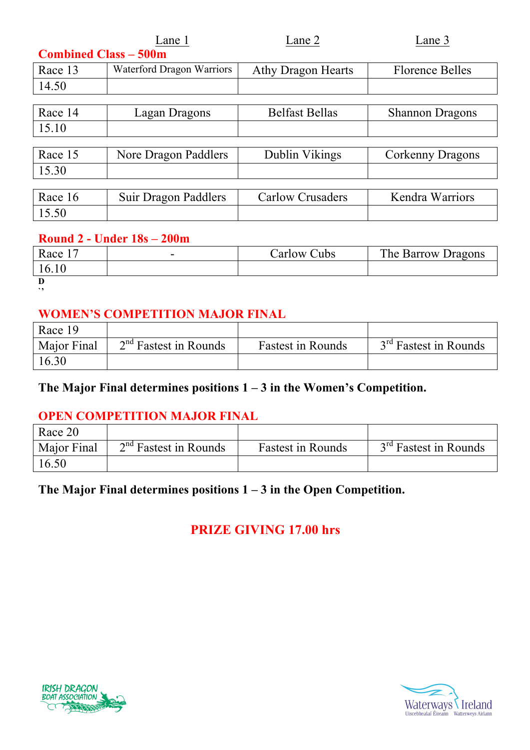|                              | Lane 1                    | Lane 2                    | Lane 3                 |
|------------------------------|---------------------------|---------------------------|------------------------|
| <b>Combined Class - 500m</b> |                           |                           |                        |
| Race 13                      | Waterford Dragon Warriors | <b>Athy Dragon Hearts</b> | <b>Florence Belles</b> |
| 14.50                        |                           |                           |                        |
|                              |                           |                           |                        |
| Race 14                      | Lagan Dragons             | <b>Belfast Bellas</b>     | <b>Shannon Dragons</b> |
| 15.10                        |                           |                           |                        |
|                              |                           |                           |                        |
| Race 15                      | Nore Dragon Paddlers      | Dublin Vikings            | Corkenny Dragons       |
| 15.30                        |                           |                           |                        |
|                              |                           |                           |                        |
| Race 16                      | Suir Dragon Paddlers      | <b>Carlow Crusaders</b>   | Kendra Warriors        |

# **Round 2 - Under 18s – 200m**

| Race 1. | Carlow Cubs | The Barrow Dragons |
|---------|-------------|--------------------|
| 16.10   |             |                    |
| D       |             |                    |

**`'**

15.50

# **WOMEN'S COMPETITION MAJOR FINAL**

| Race 19            |                         |                          |                                   |
|--------------------|-------------------------|--------------------------|-----------------------------------|
| <b>Major Final</b> | $2nd$ Fastest in Rounds | <b>Fastest in Rounds</b> | 3 <sup>rd</sup> Fastest in Rounds |
| 16.30              |                         |                          |                                   |

# **The Major Final determines positions 1 – 3 in the Women's Competition.**

# **OPEN COMPETITION MAJOR FINAL**

| Race 20     |                         |                          |                                   |
|-------------|-------------------------|--------------------------|-----------------------------------|
| Major Final | $2nd$ Fastest in Rounds | <b>Fastest in Rounds</b> | 3 <sup>rd</sup> Fastest in Rounds |
| 16.50       |                         |                          |                                   |

# **The Major Final determines positions 1 – 3 in the Open Competition.**

# **PRIZE GIVING 17.00 hrs**